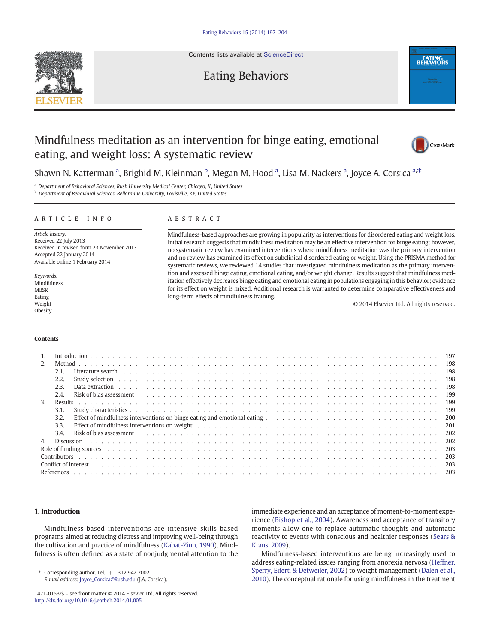Contents lists available at [ScienceDirect](http://www.sciencedirect.com/science/journal/14710153)



Eating Behaviors



# Mindfulness meditation as an intervention for binge eating, emotional eating, and weight loss: A systematic review



Shawn N. Katterman <sup>a</sup>, Brighid M. Kleinman <sup>b</sup>, Megan M. Hood <sup>a</sup>, Lisa M. Nackers <sup>a</sup>, Joyce A. Corsica <sup>a,\*</sup>

<sup>a</sup> Department of Behavioral Sciences, Rush University Medical Center, Chicago, IL, United States

<sup>b</sup> Department of Behavioral Sciences, Bellarmine University, Louisville, KY, United States

### article info abstract

Article history: Received 22 July 2013 Received in revised form 23 November 2013 Accepted 22 January 2014 Available online 1 February 2014

Keywords: Mindfulness **MBSR** Eating Weight Obesity

Mindfulness-based approaches are growing in popularity as interventions for disordered eating and weight loss. Initial research suggests that mindfulness meditation may be an effective intervention for binge eating; however, no systematic review has examined interventions where mindfulness meditation was the primary intervention and no review has examined its effect on subclinical disordered eating or weight. Using the PRISMA method for systematic reviews, we reviewed 14 studies that investigated mindfulness meditation as the primary intervention and assessed binge eating, emotional eating, and/or weight change. Results suggest that mindfulness meditation effectively decreases binge eating and emotional eating in populations engaging in this behavior; evidence for its effect on weight is mixed. Additional research is warranted to determine comparative effectiveness and long-term effects of mindfulness training.

© 2014 Elsevier Ltd. All rights reserved.

### **Contents**

| 2.             |                                                                                                                                                                                                                                        |                                                                                                                                                                                                                                       |                 |  |  |  |
|----------------|----------------------------------------------------------------------------------------------------------------------------------------------------------------------------------------------------------------------------------------|---------------------------------------------------------------------------------------------------------------------------------------------------------------------------------------------------------------------------------------|-----------------|--|--|--|
|                | 2.1.                                                                                                                                                                                                                                   |                                                                                                                                                                                                                                       | 198             |  |  |  |
|                | 2.2.                                                                                                                                                                                                                                   |                                                                                                                                                                                                                                       | 198             |  |  |  |
|                | 2.3.                                                                                                                                                                                                                                   | 198                                                                                                                                                                                                                                   |                 |  |  |  |
|                | 2.4.                                                                                                                                                                                                                                   | Risk of bias assessment response to the control of the control of the control of the control of the control of the control of the control of the control of the control of the control of the control of the control of the co        | 19 <sub>9</sub> |  |  |  |
| $\mathbf{3}$ . |                                                                                                                                                                                                                                        | 19 <sub>9</sub>                                                                                                                                                                                                                       |                 |  |  |  |
|                | 3.1.                                                                                                                                                                                                                                   |                                                                                                                                                                                                                                       |                 |  |  |  |
|                | 3.2.                                                                                                                                                                                                                                   |                                                                                                                                                                                                                                       |                 |  |  |  |
|                | 3.3.                                                                                                                                                                                                                                   | Effect of mindfulness interventions on weight respectively and service in the service of mindfulness interventions on weight respectively and service in the service of the service in the service of the service of the servi<br>201 |                 |  |  |  |
|                | 3.4.                                                                                                                                                                                                                                   | 202<br>Risk of bias assessment end contained a series of the contact of the contact of the contact of the contact of the contact of the contact of the contact of the contact of the contact of the contact of the contact of the con |                 |  |  |  |
| 4.             |                                                                                                                                                                                                                                        | - 202                                                                                                                                                                                                                                 |                 |  |  |  |
|                | -203                                                                                                                                                                                                                                   |                                                                                                                                                                                                                                       |                 |  |  |  |
|                | 203                                                                                                                                                                                                                                    |                                                                                                                                                                                                                                       |                 |  |  |  |
|                | Conflict of interest responses to conserve the contract of the contract of interest responses to contact the contract of interest responses to contact the contract of the contract of the contract of the contract of the con<br>-203 |                                                                                                                                                                                                                                       |                 |  |  |  |
|                |                                                                                                                                                                                                                                        |                                                                                                                                                                                                                                       | 203             |  |  |  |
|                |                                                                                                                                                                                                                                        |                                                                                                                                                                                                                                       |                 |  |  |  |

### 1. Introduction

Mindfulness-based interventions are intensive skills-based programs aimed at reducing distress and improving well-being through the cultivation and practice of mindfulness [\(Kabat-Zinn, 1990\)](#page-6-0). Mindfulness is often defined as a state of nonjudgmental attention to the

Corresponding author. Tel.:  $+1$  312 942 2002.

E-mail address: [Joyce\\_Corsica@Rush.edu](mailto:Joyce_Corsica@Rush.edu) (J.A. Corsica).

immediate experience and an acceptance of moment-to-moment experience [\(Bishop et al., 2004\)](#page-6-0). Awareness and acceptance of transitory moments allow one to replace automatic thoughts and automatic reactivity to events with conscious and healthier responses ([Sears &](#page-7-0) [Kraus, 2009](#page-7-0)).

Mindfulness-based interventions are being increasingly used to address eating-related issues ranging from anorexia nervosa ([Heffner,](#page-6-0) [Sperry, Eifert, & Detweiler, 2002](#page-6-0)) to weight management ([Dalen et al.,](#page-6-0) [2010](#page-6-0)). The conceptual rationale for using mindfulness in the treatment

<sup>1471-0153/\$</sup> – see front matter © 2014 Elsevier Ltd. All rights reserved. <http://dx.doi.org/10.1016/j.eatbeh.2014.01.005>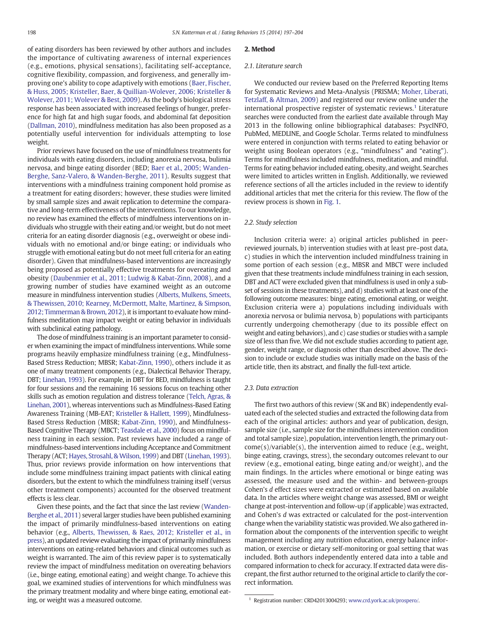of eating disorders has been reviewed by other authors and includes the importance of cultivating awareness of internal experiences (e.g., emotions, physical sensations), facilitating self-acceptance, cognitive flexibility, compassion, and forgiveness, and generally improving one's ability to cope adaptively with emotions ([Baer, Fischer,](#page-6-0) [& Huss, 2005; Kristeller, Baer, & Quillian-Wolever, 2006; Kristeller &](#page-6-0) [Wolever, 2011; Wolever & Best, 2009\)](#page-6-0). As the body's biological stress response has been associated with increased feelings of hunger, preference for high fat and high sugar foods, and abdominal fat deposition [\(Dallman, 2010](#page-6-0)), mindfulness meditation has also been proposed as a potentially useful intervention for individuals attempting to lose weight.

Prior reviews have focused on the use of mindfulness treatments for individuals with eating disorders, including anorexia nervosa, bulimia nervosa, and binge eating disorder (BED; [Baer et al., 2005; Wanden-](#page-6-0)[Berghe, Sanz-Valero, & Wanden-Berghe, 2011](#page-6-0)). Results suggest that interventions with a mindfulness training component hold promise as a treatment for eating disorders; however, these studies were limited by small sample sizes and await replication to determine the comparative and long-term effectiveness of the interventions. To our knowledge, no review has examined the effects of mindfulness interventions on individuals who struggle with their eating and/or weight, but do not meet criteria for an eating disorder diagnosis (e.g., overweight or obese individuals with no emotional and/or binge eating; or individuals who struggle with emotional eating but do not meet full criteria for an eating disorder). Given that mindfulness-based interventions are increasingly being proposed as potentially effective treatments for overeating and obesity ([Daubenmier et al., 2011; Ludwig & Kabat-Zinn, 2008](#page-6-0)), and a growing number of studies have examined weight as an outcome measure in mindfulness intervention studies [\(Alberts, Mulkens, Smeets,](#page-6-0) [& Thewissen, 2010; Kearney, McDermott, Malte, Martinez, & Simpson,](#page-6-0) [2012; Timmerman & Brown, 2012\)](#page-6-0), it is important to evaluate how mindfulness meditation may impact weight or eating behavior in individuals with subclinical eating pathology.

The dose of mindfulness training is an important parameter to consider when examining the impact of mindfulness interventions. While some programs heavily emphasize mindfulness training (e.g., Mindfulness-Based Stress Reduction; MBSR; [Kabat-Zinn, 1990\)](#page-6-0), others include it as one of many treatment components (e.g., Dialectical Behavior Therapy, DBT; [Linehan, 1993](#page-7-0)). For example, in DBT for BED, mindfulness is taught for four sessions and the remaining 16 sessions focus on teaching other skills such as emotion regulation and distress tolerance [\(Telch, Agras, &](#page-7-0) [Linehan, 2001](#page-7-0)), whereas interventions such as Mindfulness-Based Eating Awareness Training (MB-EAT; [Kristeller & Hallett, 1999\)](#page-7-0), Mindfulness-Based Stress Reduction (MBSR; [Kabat-Zinn, 1990\)](#page-6-0), and Mindfulness-Based Cognitive Therapy (MBCT; [Teasdale et al., 2000](#page-7-0)) focus on mindfulness training in each session. Past reviews have included a range of mindfulness-based interventions including Acceptance and Commitment Therapy (ACT; [Hayes, Strosahl, & Wilson, 1999\)](#page-6-0) and DBT [\(Linehan, 1993\)](#page-7-0). Thus, prior reviews provide information on how interventions that include some mindfulness training impact patients with clinical eating disorders, but the extent to which the mindfulness training itself (versus other treatment components) accounted for the observed treatment effects is less clear.

Given these points, and the fact that since the last review ([Wanden-](#page-7-0)[Berghe et al., 2011](#page-7-0)) several larger studies have been published examining the impact of primarily mindfulness-based interventions on eating behavior (e.g., [Alberts, Thewissen, & Raes, 2012; Kristeller et al., in](#page-6-0) [press\)](#page-6-0), an updated review evaluating the impact of primarily mindfulness interventions on eating-related behaviors and clinical outcomes such as weight is warranted. The aim of this review paper is to systematically review the impact of mindfulness meditation on overeating behaviors (i.e., binge eating, emotional eating) and weight change. To achieve this goal, we examined studies of interventions for which mindfulness was the primary treatment modality and where binge eating, emotional eating, or weight was a measured outcome.

### 2. Method

### 2.1. Literature search

We conducted our review based on the Preferred Reporting Items for Systematic Reviews and Meta-Analysis (PRISMA; [Moher, Liberati,](#page-7-0) [Tetzlaff, & Altman, 2009](#page-7-0)) and registered our review online under the international prospective register of systematic reviews.<sup>1</sup> Literature searches were conducted from the earliest date available through May 2013 in the following online bibliographical databases: PsycINFO, PubMed, MEDLINE, and Google Scholar. Terms related to mindfulness were entered in conjunction with terms related to eating behavior or weight using Boolean operators (e.g., "mindfulness" and "eating"). Terms for mindfulness included mindfulness, meditation, and mindful. Terms for eating behavior included eating, obesity, and weight. Searches were limited to articles written in English. Additionally, we reviewed reference sections of all the articles included in the review to identify additional articles that met the criteria for this review. The flow of the review process is shown in [Fig. 1](#page-2-0).

### 2.2. Study selection

Inclusion criteria were: a) original articles published in peerreviewed journals, b) intervention studies with at least pre–post data, c) studies in which the intervention included mindfulness training in some portion of each session (e.g., MBSR and MBCT were included given that these treatments include mindfulness training in each session, DBT and ACT were excluded given that mindfulness is used in only a subset of sessions in these treatments), and d) studies with at least one of the following outcome measures: binge eating, emotional eating, or weight. Exclusion criteria were a) populations including individuals with anorexia nervosa or bulimia nervosa, b) populations with participants currently undergoing chemotherapy (due to its possible effect on weight and eating behaviors), and c) case studies or studies with a sample size of less than five. We did not exclude studies according to patient age, gender, weight range, or diagnosis other than described above. The decision to include or exclude studies was initially made on the basis of the article title, then its abstract, and finally the full-text article.

### 2.3. Data extraction

The first two authors of this review (SK and BK) independently evaluated each of the selected studies and extracted the following data from each of the original articles: authors and year of publication, design, sample size (i.e., sample size for the mindfulness intervention condition and total sample size), population, intervention length, the primary outcome(s)/variable(s), the intervention aimed to reduce (e.g., weight, binge eating, cravings, stress), the secondary outcomes relevant to our review (e.g., emotional eating, binge eating and/or weight), and the main findings. In the articles where emotional or binge eating was assessed, the measure used and the within- and between-groups Cohen's d effect sizes were extracted or estimated based on available data. In the articles where weight change was assessed, BMI or weight change at post-intervention and follow-up (if applicable) was extracted, and Cohen's d was extracted or calculated for the post-intervention change when the variability statistic was provided. We also gathered information about the components of the intervention specific to weight management including any nutrition education, energy balance information, or exercise or dietary self-monitoring or goal setting that was included. Both authors independently entered data into a table and compared information to check for accuracy. If extracted data were discrepant, the first author returned to the original article to clarify the correct information.

Registration number: CRD42013004293; [www.crd.york.ac.uk/prospero/](http://www.crd.york.ac.uk/prospero/)).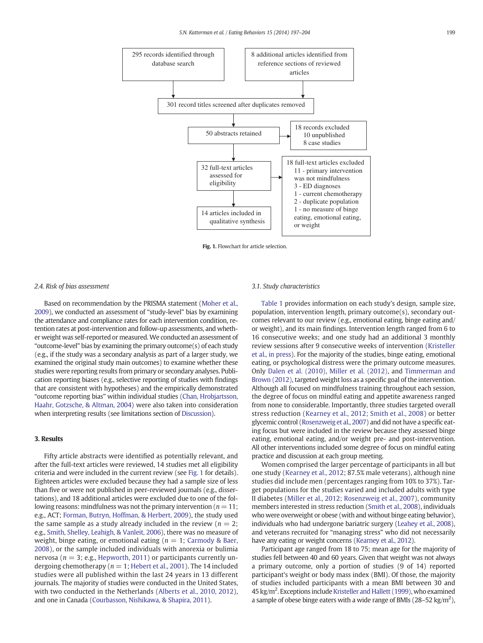<span id="page-2-0"></span>

Fig. 1. Flowchart for article selection.

### 2.4. Risk of bias assessment

Based on recommendation by the PRISMA statement ([Moher et al.,](#page-7-0) [2009](#page-7-0)), we conducted an assessment of "study-level" bias by examining the attendance and compliance rates for each intervention condition, retention rates at post-intervention and follow-up assessments, and whether weight was self-reported or measured.We conducted an assessment of "outcome-level" bias by examining the primary outcome(s) of each study (e.g., if the study was a secondary analysis as part of a larger study, we examined the original study main outcomes) to examine whether these studies were reporting results from primary or secondary analyses. Publication reporting biases (e.g., selective reporting of studies with findings that are consistent with hypotheses) and the empirically demonstrated "outcome reporting bias" within individual studies [\(Chan, Hrobjartsson,](#page-6-0) [Haahr, Gotzsche, & Altman, 2004](#page-6-0)) were also taken into consideration when interpreting results (see limitations section of [Discussion\)](#page-5-0).

### 3. Results

Fifty article abstracts were identified as potentially relevant, and after the full-text articles were reviewed, 14 studies met all eligibility criteria and were included in the current review (see Fig. 1 for details). Eighteen articles were excluded because they had a sample size of less than five or were not published in peer-reviewed journals (e.g., dissertations), and 18 additional articles were excluded due to one of the following reasons: mindfulness was not the primary intervention ( $n = 11$ ; e.g., ACT; [Forman, Butryn, Hoffman, & Herbert, 2009](#page-6-0)), the study used the same sample as a study already included in the review ( $n = 2$ ; e.g., [Smith, Shelley, Leahigh, & Vanleit, 2006](#page-7-0)), there was no measure of weight, binge eating, or emotional eating ( $n = 1$ ; [Carmody & Baer,](#page-6-0) [2008](#page-6-0)), or the sample included individuals with anorexia or bulimia nervosa ( $n = 3$ ; e.g., [Hepworth, 2011\)](#page-6-0) or participants currently undergoing chemotherapy ( $n = 1$ ; [Hebert et al., 2001](#page-6-0)). The 14 included studies were all published within the last 24 years in 13 different journals. The majority of studies were conducted in the United States, with two conducted in the Netherlands ([Alberts et al., 2010, 2012](#page-6-0)), and one in Canada ([Courbasson, Nishikawa, & Shapira, 2011\)](#page-6-0).

### 3.1. Study characteristics

[Table 1](#page-3-0) provides information on each study's design, sample size, population, intervention length, primary outcome(s), secondary outcomes relevant to our review (e.g., emotional eating, binge eating and/ or weight), and its main findings. Intervention length ranged from 6 to 16 consecutive weeks; and one study had an additional 3 monthly review sessions after 9 consecutive weeks of intervention [\(Kristeller](#page-7-0) [et al., in press](#page-7-0)). For the majority of the studies, binge eating, emotional eating, or psychological distress were the primary outcome measures. Only [Dalen et al. \(2010\),](#page-6-0) [Miller et al. \(2012\)](#page-7-0), and [Timmerman and](#page-7-0) [Brown \(2012\)](#page-7-0), targeted weight loss as a specific goal of the intervention. Although all focused on mindfulness training throughout each session, the degree of focus on mindful eating and appetite awareness ranged from none to considerable. Importantly, three studies targeted overall stress reduction ([Kearney et al., 2012; Smith et al., 2008\)](#page-6-0) or better glycemic control [\(Rosenzweig et al., 2007\)](#page-7-0) and did not have a specific eating focus but were included in the review because they assessed binge eating, emotional eating, and/or weight pre- and post-intervention. All other interventions included some degree of focus on mindful eating practice and discussion at each group meeting.

Women comprised the larger percentage of participants in all but one study ([Kearney et al., 2012](#page-6-0); 87.5% male veterans), although nine studies did include men (percentages ranging from 10% to 37%). Target populations for the studies varied and included adults with type II diabetes ([Miller et al., 2012; Rosenzweig et al., 2007](#page-7-0)), community members interested in stress reduction [\(Smith et al., 2008](#page-7-0)), individuals who were overweight or obese (with and without binge eating behavior), individuals who had undergone bariatric surgery [\(Leahey et al., 2008](#page-7-0)), and veterans recruited for "managing stress" who did not necessarily have any eating or weight concerns [\(Kearney et al., 2012](#page-6-0)).

Participant age ranged from 18 to 75; mean age for the majority of studies fell between 40 and 60 years. Given that weight was not always a primary outcome, only a portion of studies (9 of 14) reported participant's weight or body mass index (BMI). Of those, the majority of studies included participants with a mean BMI between 30 and 45 kg/m<sup>2</sup>. Exceptions include [Kristeller and Hallett \(1999\)](#page-7-0), who examined a sample of obese binge eaters with a wide range of BMIs (28-52 kg/m<sup>2</sup>),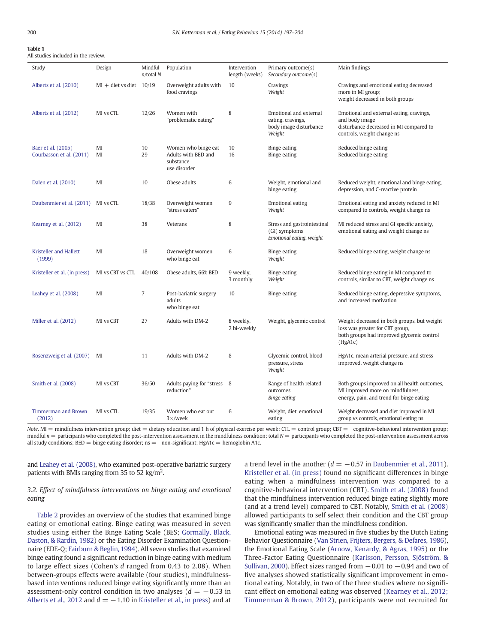## <span id="page-3-0"></span>Table 1

|  |  |  |  |  | All studies included in the review. |  |
|--|--|--|--|--|-------------------------------------|--|
|--|--|--|--|--|-------------------------------------|--|

| Study                                          | Design                    | Mindful<br>$n$ /total $N$ | Population                                                              | Intervention<br>length (weeks) | Primary outcome(s)<br>Secondary outcome(s)                                      | Main findings                                                                                                                          |
|------------------------------------------------|---------------------------|---------------------------|-------------------------------------------------------------------------|--------------------------------|---------------------------------------------------------------------------------|----------------------------------------------------------------------------------------------------------------------------------------|
| Alberts et al. (2010)                          | $MI +$ diet vs diet 10/19 |                           | Overweight adults with<br>food cravings                                 | 10                             | Cravings<br>Weight                                                              | Cravings and emotional eating decreased<br>more in MI group;<br>weight decreased in both groups                                        |
| Alberts et al. (2012)                          | MI vs CTL                 | 12/26                     | Women with<br>"problematic eating"                                      | 8                              | Emotional and external<br>eating, cravings,<br>body image disturbance<br>Weight | Emotional and external eating, cravings,<br>and body image<br>disturbance decreased in MI compared to<br>controls, weight change ns    |
| Baer et al. (2005)<br>Courbasson et al. (2011) | MI<br>MI                  | 10<br>29                  | Women who binge eat<br>Adults with BED and<br>substance<br>use disorder | 10<br>16                       | <b>Binge eating</b><br><b>Binge eating</b>                                      | Reduced binge eating<br>Reduced binge eating                                                                                           |
| Dalen et al. (2010)                            | MI                        | 10                        | Obese adults                                                            | 6                              | Weight, emotional and<br>binge eating                                           | Reduced weight, emotional and binge eating,<br>depression, and C-reactive protein                                                      |
| Daubenmier et al. (2011) MI vs CTL             |                           | 18/38                     | Overweight women<br>"stress eaters"                                     | 9                              | <b>Emotional eating</b><br>Weight                                               | Emotional eating and anxiety reduced in MI<br>compared to controls, weight change ns                                                   |
| Kearney et al. (2012)                          | MI                        | 38                        | Veterans                                                                | 8                              | Stress and gastrointestinal<br>(GI) symptoms<br>Emotional eating, weight        | MI reduced stress and GI specific anxiety,<br>emotional eating and weight change ns                                                    |
| <b>Kristeller and Hallett</b><br>(1999)        | MI                        | 18                        | Overweight women<br>who binge eat                                       | 6                              | <b>Binge eating</b><br>Weight                                                   | Reduced binge eating, weight change ns                                                                                                 |
| Kristeller et al. (in press)                   | MI vs CBT vs CTL          | 40/108                    | Obese adults, 66% BED                                                   | 9 weekly.<br>3 monthly         | Binge eating<br>Weight                                                          | Reduced binge eating in MI compared to<br>controls, similar to CBT, weight change ns                                                   |
| Leahey et al. (2008)                           | MI                        | $\overline{7}$            | Post-bariatric surgery<br>adults<br>who binge eat                       | 10                             | <b>Binge eating</b>                                                             | Reduced binge eating, depressive symptoms,<br>and increased motivation                                                                 |
| Miller et al. (2012)                           | MI vs CBT                 | 27                        | Adults with DM-2                                                        | 8 weekly,<br>2 bi-weekly       | Weight, glycemic control                                                        | Weight decreased in both groups, but weight<br>loss was greater for CBT group,<br>both groups had improved glycemic control<br>(HgA1c) |
| Rosenzweig et al. (2007)                       | MI                        | 11                        | Adults with DM-2                                                        | 8                              | Glycemic control, blood<br>pressure, stress<br>Weight                           | HgA1c, mean arterial pressure, and stress<br>improved, weight change ns                                                                |
| Smith et al. (2008)                            | MI vs CBT                 | 36/50                     | Adults paying for "stress 8<br>reduction"                               |                                | Range of health related<br>outcomes<br><b>Binge eating</b>                      | Both groups improved on all health outcomes,<br>MI improved more on mindfulness,<br>energy, pain, and trend for binge eating           |
| <b>Timmerman and Brown</b><br>(2012)           | MI vs CTL                 | 19/35                     | Women who eat out<br>$3 \times$ /week                                   | 6                              | Weight, diet, emotional<br>eating                                               | Weight decreased and diet improved in MI<br>group vs controls, emotional eating ns                                                     |

Note. MI = mindfulness intervention group; diet = dietary education and 1 h of physical exercise per week; CTL = control group; CBT = cognitive-behavioral intervention group; mindful  $n =$  participants who completed the post-intervention assessment in the mindfulness condition; total  $N =$  participants who completed the post-intervention assessment across all study conditions;  $BED = binge$  eating disorder; ns = non-significant;  $HgA1c = hemoglobin A1c$ .

and [Leahey et al. \(2008\),](#page-7-0) who examined post-operative bariatric surgery patients with BMIs ranging from 35 to 52  $\text{kg/m}^2$ .

### 3.2. Effect of mindfulness interventions on binge eating and emotional eating

[Table 2](#page-4-0) provides an overview of the studies that examined binge eating or emotional eating. Binge eating was measured in seven studies using either the Binge Eating Scale (BES; [Gormally, Black,](#page-6-0) [Daston, & Rardin, 1982\)](#page-6-0) or the Eating Disorder Examination Questionnaire (EDE-Q; [Fairburn & Beglin, 1994\)](#page-6-0). All seven studies that examined binge eating found a significant reduction in binge eating with medium to large effect sizes (Cohen's d ranged from 0.43 to 2.08). When between-groups effects were available (four studies), mindfulnessbased interventions reduced binge eating significantly more than an assessment-only control condition in two analyses ( $d = -0.53$  in [Alberts et al., 2012](#page-6-0) and  $d = -1.10$  in [Kristeller et al., in press](#page-7-0)) and at a trend level in the another ( $d = -0.57$  in [Daubenmier et al., 2011](#page-6-0)). [Kristeller et al. \(in press\)](#page-7-0) found no significant differences in binge eating when a mindfulness intervention was compared to a cognitive-behavioral intervention (CBT). [Smith et al. \(2008\)](#page-7-0) found that the mindfulness intervention reduced binge eating slightly more (and at a trend level) compared to CBT. Notably, [Smith et al. \(2008\)](#page-7-0) allowed participants to self select their condition and the CBT group was significantly smaller than the mindfulness condition.

Emotional eating was measured in five studies by the Dutch Eating Behavior Questionnaire ([Van Strien, Frijters, Bergers, & Defares, 1986\)](#page-7-0), the Emotional Eating Scale ([Arnow, Kenardy, & Agras, 1995](#page-6-0)) or the Three-Factor Eating Questionnaire ([Karlsson, Persson, Sjöström, &](#page-6-0) [Sullivan, 2000\)](#page-6-0). Effect sizes ranged from  $-0.01$  to  $-0.94$  and two of five analyses showed statistically significant improvement in emotional eating. Notably, in two of the three studies where no significant effect on emotional eating was observed [\(Kearney et al., 2012;](#page-6-0) [Timmerman & Brown, 2012](#page-6-0)), participants were not recruited for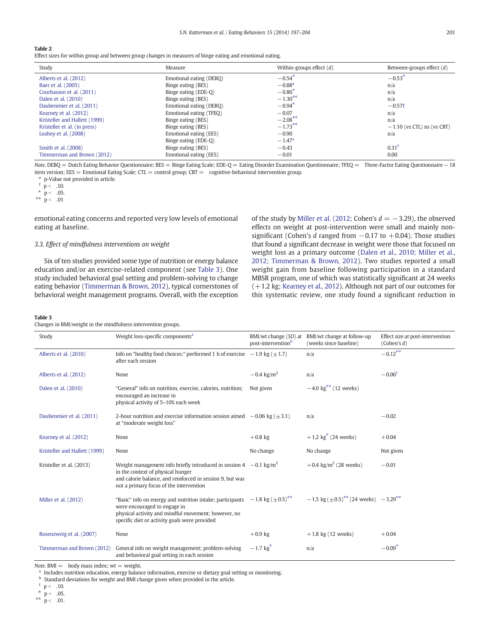### <span id="page-4-0"></span>Table 2

Effect sizes for within group and between group changes in measures of binge eating and emotional eating.

| Study                         | Measure                 | Within-groups effect $(d)$ | Between-groups effect $(d)$  |
|-------------------------------|-------------------------|----------------------------|------------------------------|
| Alberts et al. (2012)         | Emotional eating (DEBO) | $-0.54$ <sup>*</sup>       | $-0.53$ <sup>*</sup>         |
| Baer et al. (2005)            | Binge eating (BES)      | $-0.88^{a}$                | n/a                          |
| Courbasson et al. (2011)      | Binge eating (EDE-Q)    | $-0.86^{*}$                | n/a                          |
| Dalen et al. (2010)           | Binge eating (BES)      | $-1.30**$                  | n/a                          |
| Daubenmier et al. (2011)      | Emotional eating (DEBO) | $-0.94*$                   | $-0.57†$                     |
| Kearney et al. (2012)         | Emotional eating (TFEO) | $-0.07$                    | n/a                          |
| Kristeller and Hallett (1999) | Binge eating (BES)      | $-2.08***$                 | n/a                          |
| Kristeller et al. (in press)  | Binge eating (BES)      | $-1.73***$                 | $-1.10$ (vs CTL) ns (vs CBT) |
| Leahey et al. $(2008)$        | Emotional eating (EES)  | $-0.90$                    | n/a                          |
|                               | Binge eating (EDE-Q)    | $-1.47$ <sup>a</sup>       |                              |
| Smith et al. (2008)           | Binge eating (BES)      | $-0.43$                    | $0.31$ <sup>1</sup>          |
| Timmerman and Brown (2012)    | Emotional eating (EES)  | $-0.01$                    | 0.00                         |

Note. DEBQ = Dutch Eating Behavior Questionnaire; BES = Binge Eating Scale; EDE-Q = Eating Disorder Examination Questionnaire; TFEQ = Three-Factor Eating Questionnaire - 18 item version; EES = Emotional Eating Scale; CTL = control group; CBT = cognitive-behavioral intervention group.

<sup>a</sup> p-Value not provided in article.

 $\frac{1}{p}$  p < .10.

 $p < .05$ .

\*\*  $p < .01$ 

emotional eating concerns and reported very low levels of emotional eating at baseline.

### 3.3. Effect of mindfulness interventions on weight

Six of ten studies provided some type of nutrition or energy balance education and/or an exercise-related component (see Table 3). One study included behavioral goal setting and problem-solving to change eating behavior [\(Timmerman & Brown, 2012](#page-7-0)), typical cornerstones of behavioral weight management programs. Overall, with the exception of the study by [Miller et al. \(2012;](#page-7-0) Cohen's  $d = -3.29$ ), the observed effects on weight at post-intervention were small and mainly nonsignificant (Cohen's d ranged from  $-0.17$  to  $+0.04$ ). Those studies that found a significant decrease in weight were those that focused on weight loss as a primary outcome ([Dalen et al., 2010; Miller et al.,](#page-6-0) [2012; Timmerman & Brown, 2012](#page-6-0)). Two studies reported a small weight gain from baseline following participation in a standard MBSR program, one of which was statistically significant at 24 weeks (+1.2 kg; [Kearney et al., 2012\)](#page-6-0). Although not part of our outcomes for this systematic review, one study found a significant reduction in

### Table 3

Changes in BMI/weight in the mindfulness intervention groups.

| Study                         | Weight loss-specific components <sup>a</sup>                                                                                                                                                                                       | post-intervention <sup>b</sup> | BMI/wt change (SD) at BMI/wt change at follow-up<br>(weeks since baseline) | Effect size at post-intervention<br>(Cohen's d) |
|-------------------------------|------------------------------------------------------------------------------------------------------------------------------------------------------------------------------------------------------------------------------------|--------------------------------|----------------------------------------------------------------------------|-------------------------------------------------|
| Alberts et al. (2010)         | Info on "healthy food choices;" performed 1 h of exercise $-1.9 \text{ kg } (\pm 1.7)$<br>after each session                                                                                                                       |                                | n/a                                                                        | $-0.12***$                                      |
| Alberts et al. (2012)         | None                                                                                                                                                                                                                               | $-0.4$ kg/m <sup>2</sup>       | n/a                                                                        | $-0.06^{\dagger}$                               |
| Dalen et al. (2010)           | "General" info on nutrition, exercise, calories, nutrition;<br>encouraged an increase in<br>physical activity of 5-10% each week                                                                                                   | Not given                      | $-4.0 \text{ kg}^{**}$ (12 weeks)                                          |                                                 |
| Daubenmier et al. (2011)      | 2-hour nutrition and exercise information session aimed $-0.06 \text{ kg } (\pm 3.1)$<br>at "moderate weight loss"                                                                                                                 |                                | n/a                                                                        | $-0.02$                                         |
| Kearney et al. (2012)         | None                                                                                                                                                                                                                               | $+0.8$ kg                      | $+1.2$ kg <sup>*</sup> (24 weeks)                                          | $+0.04$                                         |
| Kristeller and Hallett (1999) | None                                                                                                                                                                                                                               | No change                      | No change                                                                  | Not given                                       |
| Kristeller et al. (2013)      | Weight management info briefly introduced in session $4 -0.1 \text{ kg/m}^2$<br>in the context of physical hunger<br>and calorie balance, and reinforced in session 9, but was<br>not a primary focus of the intervention          |                                | $+0.4 \text{ kg/m}^2$ (28 weeks)                                           | $-0.01$                                         |
| Miller et al. (2012)          | "Basic" info on energy and nutrition intake; participants $-1.8 \text{ kg} (\pm 0.5)^{**}$<br>were encouraged to engage in<br>physical activity and mindful movement; however, no<br>specific diet or activity goals were provided |                                | $-1.5 \text{ kg} (\pm 0.5)^{**} (24 \text{ weeks}) -3.29^{**}$             |                                                 |
| Rosenzweig et al. (2007)      | None                                                                                                                                                                                                                               | $+0.9$ kg                      | $+1.8$ kg (12 weeks)                                                       | $+0.04$                                         |
| Timmerman and Brown (2012)    | General info on weight management; problem-solving<br>and behavioral goal setting in each session                                                                                                                                  | $-1.7 \text{ kg}^*$            | n/a                                                                        | $-0.09*$                                        |

 $Note. **BMI** = **body mass index**;  $wt = weight$ .$ 

<sup>a</sup> Includes nutrition education, energy balance information, exercise or dietary goal setting or monitoring.

**b** Standard deviations for weight and BMI change given when provided in the article.

 $\uparrow$  p < .10.

\*  $p < .05$ .

\*\*  $p < .01$ .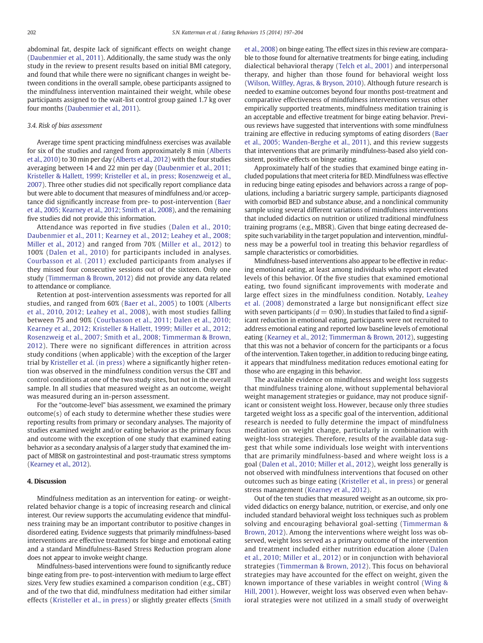<span id="page-5-0"></span>abdominal fat, despite lack of significant effects on weight change [\(Daubenmier et al., 2011](#page-6-0)). Additionally, the same study was the only study in the review to present results based on initial BMI category, and found that while there were no significant changes in weight between conditions in the overall sample, obese participants assigned to the mindfulness intervention maintained their weight, while obese participants assigned to the wait-list control group gained 1.7 kg over four months [\(Daubenmier et al., 2011](#page-6-0)).

### 3.4. Risk of bias assessment

Average time spent practicing mindfulness exercises was available for six of the studies and ranged from approximately 8 min ([Alberts](#page-6-0) [et al., 2010](#page-6-0)) to 30 min per day ([Alberts et al., 2012](#page-6-0)) with the four studies averaging between 14 and 22 min per day ([Daubenmier et al., 2011;](#page-6-0) [Kristeller & Hallett, 1999; Kristeller et al., in press; Rosenzweig et al.,](#page-6-0) [2007\)](#page-6-0). Three other studies did not specifically report compliance data but were able to document that measures of mindfulness and/or acceptance did significantly increase from pre- to post-intervention [\(Baer](#page-6-0) [et al., 2005; Kearney et al., 2012; Smith et al., 2008](#page-6-0)), and the remaining five studies did not provide this information.

Attendance was reported in five studies ([Dalen et al., 2010;](#page-6-0) [Daubenmier et al., 2011; Kearney](#page-6-0) et al., 2012; Leahey et al., 2008; [Miller et al., 2012\)](#page-6-0) and ranged from 70% ([Miller et al., 2012](#page-7-0)) to 100% [\(Dalen et al., 2010\)](#page-6-0) for participants included in analyses. [Courbasson et al. \(2011\)](#page-6-0) excluded participants from analyses if they missed four consecutive sessions out of the sixteen. Only one study ([Timmerman & Brown, 2012](#page-7-0)) did not provide any data related to attendance or compliance.

Retention at post-intervention assessments was reported for all studies, and ranged from 60% [\(Baer et al., 2005](#page-6-0)) to 100% [\(Alberts](#page-6-0) [et al., 2010, 2012; Leahey et al., 2008](#page-6-0)), with most studies falling between 75 and 90% [\(Courbasson et al., 2011; Dalen et al., 2010;](#page-6-0) [Kearney et al., 2012; Kristeller & Hallett, 1999; Miller et al., 2012;](#page-6-0) [Rosenzweig et al., 2007; Smith et al., 2008; Timmerman & Brown,](#page-6-0) [2012\)](#page-6-0). There were no significant differences in attrition across study conditions (when applicable) with the exception of the larger trial by [Kristeller et al. \(in press\)](#page-7-0) where a significantly higher retention was observed in the mindfulness condition versus the CBT and control conditions at one of the two study sites, but not in the overall sample. In all studies that measured weight as an outcome, weight was measured during an in-person assessment.

For the "outcome-level" bias assessment, we examined the primary outcome(s) of each study to determine whether these studies were reporting results from primary or secondary analyses. The majority of studies examined weight and/or eating behavior as the primary focus and outcome with the exception of one study that examined eating behavior as a secondary analysis of a larger study that examined the impact of MBSR on gastrointestinal and post-traumatic stress symptoms [\(Kearney et al., 2012](#page-6-0)).

### 4. Discussion

Mindfulness meditation as an intervention for eating- or weightrelated behavior change is a topic of increasing research and clinical interest. Our review supports the accumulating evidence that mindfulness training may be an important contributor to positive changes in disordered eating. Evidence suggests that primarily mindfulness-based interventions are effective treatments for binge and emotional eating and a standard Mindfulness-Based Stress Reduction program alone does not appear to invoke weight change.

Mindfulness-based interventions were found to significantly reduce binge eating from pre- to post-intervention with medium to large effect sizes. Very few studies examined a comparison condition (e.g., CBT) and of the two that did, mindfulness meditation had either similar effects [\(Kristeller et al., in press](#page-7-0)) or slightly greater effects ([Smith](#page-7-0) [et al., 2008](#page-7-0)) on binge eating. The effect sizes in this review are comparable to those found for alternative treatments for binge eating, including dialectical behavioral therapy ([Telch et al., 2001\)](#page-7-0) and interpersonal therapy, and higher than those found for behavioral weight loss (Wilson, Wilfl[ey, Agras, & Bryson, 2010](#page-7-0)). Although future research is needed to examine outcomes beyond four months post-treatment and comparative effectiveness of mindfulness interventions versus other empirically supported treatments, mindfulness meditation training is an acceptable and effective treatment for binge eating behavior. Previous reviews have suggested that interventions with some mindfulness training are effective in reducing symptoms of eating disorders ([Baer](#page-6-0) [et al., 2005; Wanden-Berghe et al., 2011\)](#page-6-0), and this review suggests that interventions that are primarily mindfulness-based also yield consistent, positive effects on binge eating.

Approximately half of the studies that examined binge eating included populations that meet criteria for BED. Mindfulness was effective in reducing binge eating episodes and behaviors across a range of populations, including a bariatric surgery sample, participants diagnosed with comorbid BED and substance abuse, and a nonclinical community sample using several different variations of mindfulness interventions that included didactics on nutrition or utilized traditional mindfulness training programs (e.g., MBSR). Given that binge eating decreased despite such variability in the target population and intervention, mindfulness may be a powerful tool in treating this behavior regardless of sample characteristics or comorbidities.

Mindfulness-based interventions also appear to be effective in reducing emotional eating, at least among individuals who report elevated levels of this behavior. Of the five studies that examined emotional eating, two found significant improvements with moderate and large effect sizes in the mindfulness condition. Notably, [Leahey](#page-7-0) [et al. \(2008\)](#page-7-0) demonstrated a large but nonsignificant effect size with seven participants ( $d = 0.90$ ). In studies that failed to find a significant reduction in emotional eating, participants were not recruited to address emotional eating and reported low baseline levels of emotional eating ([Kearney et al., 2012; Timmerman & Brown, 2012\)](#page-6-0), suggesting that this was not a behavior of concern for the participants or a focus of the intervention. Taken together, in addition to reducing binge eating, it appears that mindfulness meditation reduces emotional eating for those who are engaging in this behavior.

The available evidence on mindfulness and weight loss suggests that mindfulness training alone, without supplemental behavioral weight management strategies or guidance, may not produce significant or consistent weight loss. However, because only three studies targeted weight loss as a specific goal of the intervention, additional research is needed to fully determine the impact of mindfulness meditation on weight change, particularly in combination with weight-loss strategies. Therefore, results of the available data suggest that while some individuals lose weight with interventions that are primarily mindfulness-based and where weight loss is a goal [\(Dalen et al., 2010; Miller et al., 2012\)](#page-6-0), weight loss generally is not observed with mindfulness interventions that focused on other outcomes such as binge eating [\(Kristeller et al., in press](#page-7-0)) or general stress management ([Kearney et al., 2012\)](#page-6-0).

Out of the ten studies that measured weight as an outcome, six provided didactics on energy balance, nutrition, or exercise, and only one included standard behavioral weight loss techniques such as problem solving and encouraging behavioral goal-setting ([Timmerman &](#page-7-0) [Brown, 2012](#page-7-0)). Among the interventions where weight loss was observed, weight loss served as a primary outcome of the intervention and treatment included either nutrition education alone ([Dalen](#page-6-0) [et al., 2010; Miller et al., 2012](#page-6-0)) or in conjunction with behavioral strategies [\(Timmerman & Brown, 2012](#page-7-0)). This focus on behavioral strategies may have accounted for the effect on weight, given the known importance of these variables in weight control ([Wing &](#page-7-0) [Hill, 2001](#page-7-0)). However, weight loss was observed even when behavioral strategies were not utilized in a small study of overweight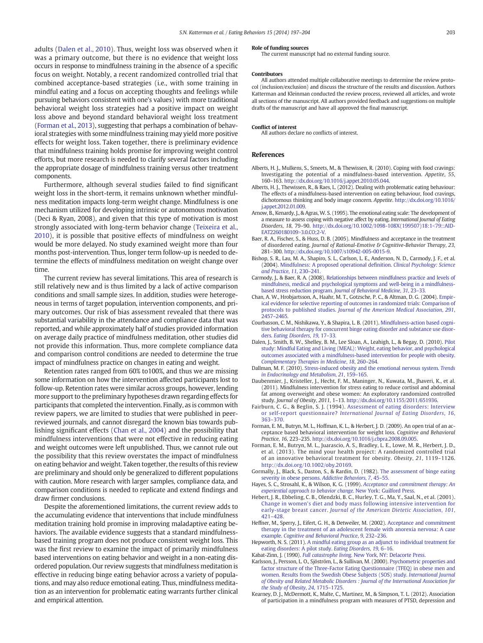<span id="page-6-0"></span>adults (Dalen et al., 2010). Thus, weight loss was observed when it was a primary outcome, but there is no evidence that weight loss occurs in response to mindfulness training in the absence of a specific focus on weight. Notably, a recent randomized controlled trial that combined acceptance-based strategies (i.e., with some training in mindful eating and a focus on accepting thoughts and feelings while pursuing behaviors consistent with one's values) with more traditional behavioral weight loss strategies had a positive impact on weight loss above and beyond standard behavioral weight loss treatment (Forman et al., 2013), suggesting that perhaps a combination of behavioral strategies with some mindfulness training may yield more positive effects for weight loss. Taken together, there is preliminary evidence that mindfulness training holds promise for improving weight control efforts, but more research is needed to clarify several factors including the appropriate dosage of mindfulness training versus other treatment components.

Furthermore, although several studies failed to find significant weight loss in the short-term, it remains unknown whether mindfulness meditation impacts long-term weight change. Mindfulness is one mechanism utilized for developing intrinsic or autonomous motivation (Deci & Ryan, 2008), and given that this type of motivation is most strongly associated with long-term behavior change ([Teixeira et al.,](#page-7-0) [2010\)](#page-7-0), it is possible that positive effects of mindfulness on weight would be more delayed. No study examined weight more than four months post-intervention. Thus, longer term follow-up is needed to determine the effects of mindfulness meditation on weight change over time.

The current review has several limitations. This area of research is still relatively new and is thus limited by a lack of active comparison conditions and small sample sizes. In addition, studies were heterogeneous in terms of target population, intervention components, and primary outcomes. Our risk of bias assessment revealed that there was substantial variability in the attendance and compliance data that was reported, and while approximately half of studies provided information on average daily practice of mindfulness meditation, other studies did not provide this information. Thus, more complete compliance data and comparison control conditions are needed to determine the true impact of mindfulness practice on changes in eating and weight.

Retention rates ranged from 60% to100%, and thus we are missing some information on how the intervention affected participants lost to follow-up. Retention rates were similar across groups, however, lending more support to the preliminary hypotheses drawn regarding effects for participants that completed the intervention. Finally, as is common with review papers, we are limited to studies that were published in peerreviewed journals, and cannot disregard the known bias towards publishing significant effects (Chan et al., 2004) and the possibility that mindfulness interventions that were not effective in reducing eating and weight outcomes were left unpublished. Thus, we cannot rule out the possibility that this review overstates the impact of mindfulness on eating behavior and weight. Taken together, the results of this review are preliminary and should only be generalized to different populations with caution. More research with larger samples, compliance data, and comparison conditions is needed to replicate and extend findings and draw firmer conclusions.

Despite the aforementioned limitations, the current review adds to the accumulating evidence that interventions that include mindfulness meditation training hold promise in improving maladaptive eating behaviors. The available evidence suggests that a standard mindfulnessbased training program does not produce consistent weight loss. This was the first review to examine the impact of primarily mindfulness based interventions on eating behavior and weight in a non-eating disordered population. Our review suggests that mindfulness meditation is effective in reducing binge eating behavior across a variety of populations, and may also reduce emotional eating. Thus, mindfulness meditation as an intervention for problematic eating warrants further clinical and empirical attention.

### Role of funding sources

The current manuscript had no external funding source.

### Contributors

All authors attended multiple collaborative meetings to determine the review protocol (inclusion/exclusion) and discuss the structure of the results and discussion. Authors Katterman and Kleinman conducted the review process, reviewed all articles, and wrote all sections of the manuscript. All authors provided feedback and suggestions on multiple drafts of the manuscript and have all approved the final manuscript.

### Conflict of interest

All authors declare no conflicts of interest.

### References

- Alberts, H. J., Mulkens, S., Smeets, M., & Thewissen, R. (2010). Coping with food cravings: Investigating the potential of a mindfulness-based intervention. Appetite, 55, 160–163. http://dx.doi.org[/10.1016/j.appet.2010.05.044.](http://dx.doi.org/10.1016/j.appet.2010.05.044)
- Alberts, H. J., Thewissen, R., & Raes, L. (2012). Dealing with problematic eating behaviour: The effects of a mindfulness-based intervention on eating behaviour, food cravings, dichotomous thinking and body image concern. Appetite. http://dx.doi.org[/10.1016/](http://dx.doi.org/10.1016/j.appet.2012.01.009) [j.appet.2012.01.009](http://dx.doi.org/10.1016/j.appet.2012.01.009).
- Arnow, B., Kenardy, J., & Agras, W. S. (1995). The emotional eating scale: The development of a measure to assess coping with negative affect by eating. International Journal of Eating Disorders, 18, 79-90. http://dx.doi.org/10.1002/1098-108X(199507)18:1<79::AID-EAT2260180109>3.0.CO;2-V.
- Baer, R. A., Fischer, S., & Huss, D. B. (2005). Mindfulness and acceptance in the treatment of disordered eating. Journal of Rational-Emotive & Cognitive-Behavior Therapy, 23, 281–300. http://dx.doi.org[/10.1007/s10942-005-0015-9.](http://dx.doi.org/10.1007/s10942-005-0015-9)
- Bishop, S. R., Lau, M. A., Shapiro, S. L., Carlson, L. E., Anderson, N. D., Carmody, J. F., et al. (2004). [Mindfulness: A proposed operational de](http://refhub.elsevier.com/S1471-0153(14)00019-1/rf0190)finition. Clinical Psychology: Science [and Practice](http://refhub.elsevier.com/S1471-0153(14)00019-1/rf0190), 11, 230–241.
- Carmody, J., & Baer, R. A. (2008). [Relationships between mindfulness practice and levels of](http://refhub.elsevier.com/S1471-0153(14)00019-1/rf0030) [mindfulness, medical and psychological symptoms and well-being in a mindfulness](http://refhub.elsevier.com/S1471-0153(14)00019-1/rf0030)[based stress reduction program.](http://refhub.elsevier.com/S1471-0153(14)00019-1/rf0030) Journal of Behavioral Medicine, 31, 23–33.
- Chan, A. W., Hrobjartsson, A., Haahr, M. T., Gotzsche, P. C., & Altman, D. G. (2004). [Empir](http://refhub.elsevier.com/S1471-0153(14)00019-1/rf0035)[ical evidence for selective reporting of outcomes in randomized trials: Comparison of](http://refhub.elsevier.com/S1471-0153(14)00019-1/rf0035) protocols to published studies. [Journal of the American Medical Association](http://refhub.elsevier.com/S1471-0153(14)00019-1/rf0035), 291, 2457–[2465.](http://refhub.elsevier.com/S1471-0153(14)00019-1/rf0035)
- Courbasson, C. M., Nishikawa, Y., & Shapira, L. B. (2011). [Mindfulness-action based cogni](http://refhub.elsevier.com/S1471-0153(14)00019-1/rf0040)[tive behavioral therapy for concurrent binge eating disorder and substance use disor](http://refhub.elsevier.com/S1471-0153(14)00019-1/rf0040)ders. [Eating Disorders](http://refhub.elsevier.com/S1471-0153(14)00019-1/rf0040), 19, 17–33.
- Dalen, J., Smith, B. W., Shelley, B. M., Lee Sloan, A., Leahigh, L., & Begay, D. (2010). [Pilot](http://refhub.elsevier.com/S1471-0153(14)00019-1/rf0045) [study: Mindful Eating and Living \(MEAL\): Weight, eating behavior, and psychological](http://refhub.elsevier.com/S1471-0153(14)00019-1/rf0045) [outcomes associated with a mindfulness-based intervention for people with obesity.](http://refhub.elsevier.com/S1471-0153(14)00019-1/rf0045) [Complementary Therapies in Medicine](http://refhub.elsevier.com/S1471-0153(14)00019-1/rf0045), 18, 260–264.
- Dallman, M. F. (2010). [Stress-induced obesity and the emotional nervous system.](http://refhub.elsevier.com/S1471-0153(14)00019-1/rf0050) Trends [in Endocrinology and Metabolism](http://refhub.elsevier.com/S1471-0153(14)00019-1/rf0050), 21, 159–165.
- Daubenmier, J., Kristeller, J., Hecht, F. M., Maninger, N., Kuwata, M., Jhaveri, K., et al. (2011). Mindfulness intervention for stress eating to reduce cortisol and abdominal fat among overweight and obese women: An exploratory randomized controlled study. Journal of Obesity, 2011, 1–13. http://dx.doi.org[/10.1155/2011/651936](http://dx.doi.org/10.1155/2011/651936).
- Fairburn, C. G., & Beglin, S. J. (1994). [Assessment of eating disorders: Interview](http://refhub.elsevier.com/S1471-0153(14)00019-1/rf9000) or self-report questionnaire? [International Journal of Eating Disorders](http://refhub.elsevier.com/S1471-0153(14)00019-1/rf9000), 16, 363–[370.](http://refhub.elsevier.com/S1471-0153(14)00019-1/rf9000)
- Forman, E. M., Butryn, M. L., Hoffman, K. L., & Herbert, J. D. (2009). An open trial of an acceptance based behavioral intervention for weight loss. Cognitive and Behavioral Practice, 16, 223–235. http://dx.doi.org[/10.1016/j.cbpra.2008.09.005](http://dx.doi.org/10.1016/j.cbpra.2008.09.005).
- Forman, E. M., Butryn, M. L., Juarascio, A. S., Bradley, L. E., Lowe, M. R., Herbert, J. D., et al. (2013). The mind your health project: A randomized controlled trial of an innovative behavioral treatment for obesity. Obesity, 21, 1119–1126. http://dx.doi.org/[10.1002/oby.20169](http://dx.doi.org/10.1002/oby.20169).
- Gormally, J., Black, S., Daston, S., & Rardin, D. (1982). [The assessment of binge eating](http://refhub.elsevier.com/S1471-0153(14)00019-1/rf0065) [severity in obese persons.](http://refhub.elsevier.com/S1471-0153(14)00019-1/rf0065) Addictive Behaviors, 7, 45–55.
- Hayes, S. C., Strosahl, K., & Wilson, K. G. (1999). [Acceptance and commitment therapy: An](http://refhub.elsevier.com/S1471-0153(14)00019-1/rf0070) [experiential approach to behavior change.](http://refhub.elsevier.com/S1471-0153(14)00019-1/rf0070) New York: Guilford Press.
- Hebert, J. R., Ebbeling, C. B., Olendzki, B. C., Hurley, T. G., Ma, Y., Saal, N., et al. (2001). [Change in women's diet and body mass following intensive intervention for](http://refhub.elsevier.com/S1471-0153(14)00019-1/rf0075) early-stage breast cancer. [Journal of the American Dietetic Association](http://refhub.elsevier.com/S1471-0153(14)00019-1/rf0075), 101, 421–[428.](http://refhub.elsevier.com/S1471-0153(14)00019-1/rf0075)
- Heffner, M., Sperry, J., Eifert, G. H., & Detweiler, M. (2002). [Acceptance and commitment](http://refhub.elsevier.com/S1471-0153(14)00019-1/rf0080) [therapy in the treatment of an adolescent female with anorexia nervosa: A case](http://refhub.elsevier.com/S1471-0153(14)00019-1/rf0080) example. [Cognitive and Behavioral Practice](http://refhub.elsevier.com/S1471-0153(14)00019-1/rf0080), 9, 232–236.
- Hepworth, N. S. (2011). [A mindful eating group as an adjunct to individual treatment for](http://refhub.elsevier.com/S1471-0153(14)00019-1/rf0085) [eating disorders: A pilot study.](http://refhub.elsevier.com/S1471-0153(14)00019-1/rf0085) Eating Disorders, 19, 6–16.
- Kabat-Zinn, J. (1990). Full catastrophe living. [New York, NY: Delacorte Press.](http://refhub.elsevier.com/S1471-0153(14)00019-1/rf0090)
- Karlsson, J., Persson, L. O., Sjöström, L., & Sullivan, M. (2000). [Psychometric properties and](http://refhub.elsevier.com/S1471-0153(14)00019-1/rf0200) [factor structure of the Three-Factor Eating Questionnaire \(TFEQ\) in obese men and](http://refhub.elsevier.com/S1471-0153(14)00019-1/rf0200) [women. Results from the Swedish Obese Subjects \(SOS\) study.](http://refhub.elsevier.com/S1471-0153(14)00019-1/rf0200) International Journal [of Obesity and Related Metabolic Disorders : Journal of the International Association for](http://refhub.elsevier.com/S1471-0153(14)00019-1/rf0200) [the Study of Obesity](http://refhub.elsevier.com/S1471-0153(14)00019-1/rf0200), 24, 1715–1725.
- Kearney, D. J., McDermott, K., Malte, C., Martinez, M., & Simpson, T. L. (2012). Association of participation in a mindfulness program with measures of PTSD, depression and